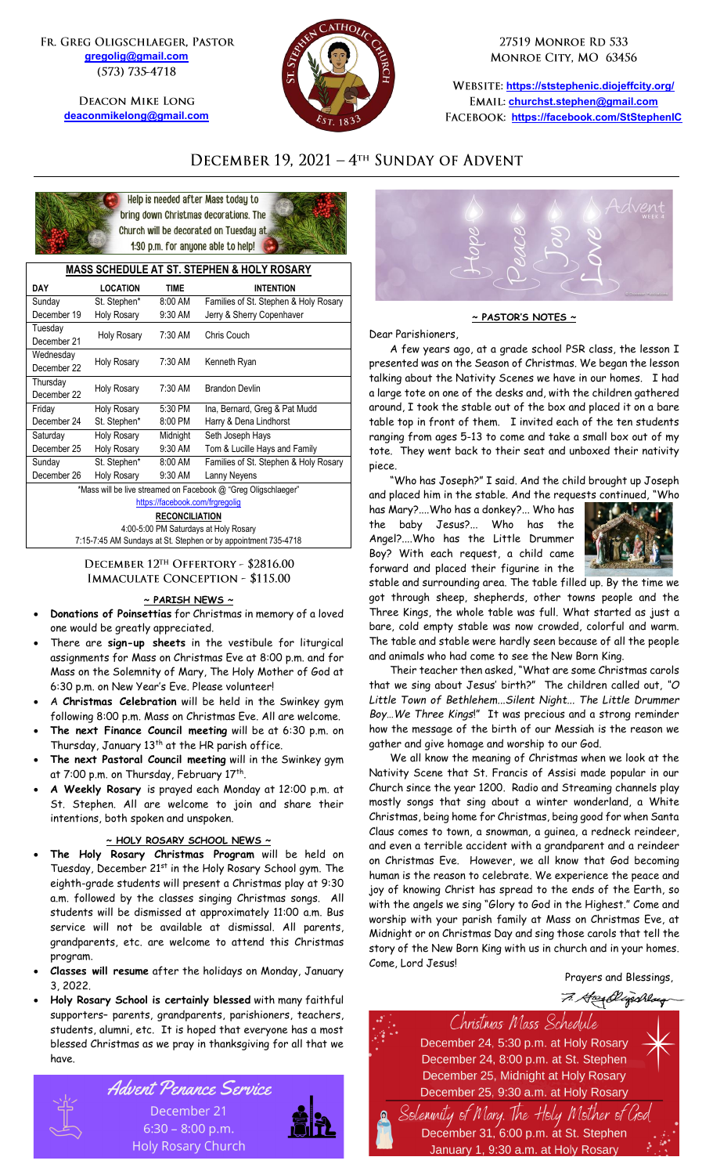FR. GREG OLIGSCHLAEGER, PASTOR **[gregolig@gmail.com](mailto:gregolig@gmail.com)** (573) 735-4718

> **DEACON MIKE LONG [deaconmikelong@gmail.com](mailto:deaconmikelong@gmail.com)**



27519 MONROE RD 533 MONROE CITY, MO 63456

**<https://ststephenic.diojeffcity.org/> [churchst.stephen@gmail.com](mailto:churchst.stephen@gmail.com) <https://facebook.com/StStephenIC>**

# DECEMBER 19, 2021 - 4TH SUNDAY OF ADVENT



Help is needed after Mass today to bring down Christmas decorations. The Church will be decorated on Tuesday at 1:30 p.m. for anyone able to help!

### **MASS SCHEDULE AT ST. STEPHEN & HOLY ROSARY**

| <b>DAY</b>                                                     | <b>LOCATION</b>    | <b>TIME</b> | <b>INTENTION</b>                      |  |
|----------------------------------------------------------------|--------------------|-------------|---------------------------------------|--|
| Sunday                                                         | St. Stephen*       | 8:00 AM     | Families of St. Stephen & Holy Rosary |  |
| December 19                                                    | <b>Holy Rosary</b> | 9:30 AM     | Jerry & Sherry Copenhaver             |  |
| Tuesday                                                        |                    | 7:30 AM     | Chris Couch                           |  |
| December 21                                                    | <b>Holy Rosary</b> |             |                                       |  |
| Wednesday                                                      |                    | 7:30 AM     |                                       |  |
| December 22                                                    | <b>Holy Rosary</b> |             | Kenneth Ryan                          |  |
| Thursday                                                       | <b>Holy Rosary</b> | 7:30 AM     | <b>Brandon Devlin</b>                 |  |
| December 22                                                    |                    |             |                                       |  |
| Friday                                                         | <b>Holy Rosary</b> | 5:30 PM     | Ina, Bernard, Greg & Pat Mudd         |  |
| December 24                                                    | St. Stephen*       | 8:00 PM     | Harry & Dena Lindhorst                |  |
| Saturday                                                       | <b>Holy Rosary</b> | Midnight    | Seth Joseph Hays                      |  |
| December 25                                                    | <b>Holy Rosary</b> | $9:30$ AM   | Tom & Lucille Hays and Family         |  |
| Sunday                                                         | St. Stephen*       | 8:00 AM     | Families of St. Stephen & Holy Rosary |  |
| December 26                                                    | <b>Holy Rosary</b> | 9:30 AM     | Lanny Neyens                          |  |
| *Mass will be live streamed on Facebook @ "Greg Oligschlaeger" |                    |             |                                       |  |

<https://facebook.com/frgregolig>

**RECONCILIATION**

4:00-5:00 PM Saturdays at Holy Rosary 7:15-7:45 AM Sundays at St. Stephen or by appointment 735-4718

DECEMBER 12TH OFFERTORY - \$2816.00 **IMMACULATE CONCEPTION - \$115.00** 

### **~ PARISH NEWS ~**

- **Donations of Poinsettias** for Christmas in memory of a loved one would be greatly appreciated.
- There are **sign-up sheets** in the vestibule for liturgical assignments for Mass on Christmas Eve at 8:00 p.m. and for Mass on the Solemnity of Mary, The Holy Mother of God at 6:30 p.m. on New Year's Eve. Please volunteer!
- A **Christmas Celebration** will be held in the Swinkey gym following 8:00 p.m. Mass on Christmas Eve. All are welcome.
- **The next Finance Council meeting** will be at 6:30 p.m. on Thursday, January 13<sup>th</sup> at the HR parish office.
- **The next Pastoral Council meeting** will in the Swinkey gym at 7:00 p.m. on Thursday, February 17<sup>th</sup>.
- **A Weekly Rosary** is prayed each Monday at 12:00 p.m. at St. Stephen. All are welcome to join and share their intentions, both spoken and unspoken.

### **~ HOLY ROSARY SCHOOL NEWS ~**

- **The Holy Rosary Christmas Program** will be held on Tuesday, December 21st in the Holy Rosary School gym. The eighth-grade students will present a Christmas play at 9:30 a.m. followed by the classes singing Christmas songs. All students will be dismissed at approximately 11:00 a.m. Bus service will not be available at dismissal. All parents, grandparents, etc. are welcome to attend this Christmas program.
- **Classes will resume** after the holidays on Monday, January 3, 2022.
- **Holy Rosary School is certainly blessed** with many faithful supporters– parents, grandparents, parishioners, teachers, students, alumni, etc. It is hoped that everyone has a most blessed Christmas as we pray in thanksgiving for all that we have.

Advent Penance Service December 21  $6:30 - 8:00$  p.m. **Holy Rosary Church** 





### **~ PASTOR'S NOTES ~**

Dear Parishioners,

A few years ago, at a grade school PSR class, the lesson I presented was on the Season of Christmas. We began the lesson talking about the Nativity Scenes we have in our homes. I had a large tote on one of the desks and, with the children gathered around, I took the stable out of the box and placed it on a bare table top in front of them. I invited each of the ten students ranging from ages 5-13 to come and take a small box out of my tote. They went back to their seat and unboxed their nativity piece.

"Who has Joseph?" I said. And the child brought up Joseph and placed him in the stable. And the requests continued, "Who

has Mary?....Who has a donkey?... Who has the baby Jesus?... Who has the Angel?....Who has the Little Drummer Boy? With each request, a child came forward and placed their figurine in the



stable and surrounding area. The table filled up. By the time we got through sheep, shepherds, other towns people and the Three Kings, the whole table was full. What started as just a bare, cold empty stable was now crowded, colorful and warm. The table and stable were hardly seen because of all the people and animals who had come to see the New Born King.

Their teacher then asked, "What are some Christmas carols that we sing about Jesus' birth?" The children called out, *"O Little Town of Bethlehem...Silent Night... The Little Drummer Boy…We Three Kings*!" It was precious and a strong reminder how the message of the birth of our Messiah is the reason we gather and give homage and worship to our God.

We all know the meaning of Christmas when we look at the Nativity Scene that St. Francis of Assisi made popular in our Church since the year 1200. Radio and Streaming channels play mostly songs that sing about a winter wonderland, a White Christmas, being home for Christmas, being good for when Santa Claus comes to town, a snowman, a guinea, a redneck reindeer, and even a terrible accident with a grandparent and a reindeer on Christmas Eve. However, we all know that God becoming human is the reason to celebrate. We experience the peace and joy of knowing Christ has spread to the ends of the Earth, so with the angels we sing "Glory to God in the Highest." Come and worship with your parish family at Mass on Christmas Eve, at Midnight or on Christmas Day and sing those carols that tell the story of the New Born King with us in church and in your homes. Come, Lord Jesus!

## Prayers and Blessings,7. Heenblijschlau